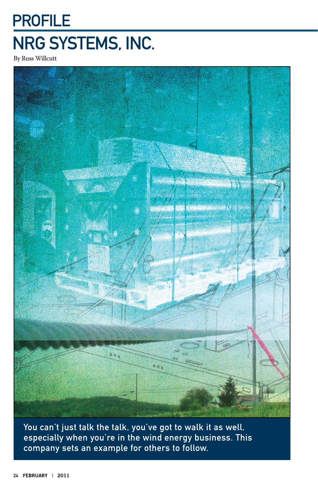## PROFILE NRG Systems, Inc.

By Russ Willcutt



You can't just talk the talk, you've got to walk it as well, especially when you're in the wind energy business. This company sets an example for others to follow.